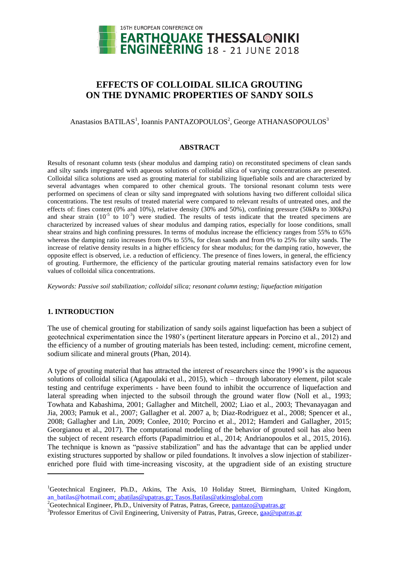

# **EFFECTS OF COLLOIDAL SILICA GROUTING ON THE DYNAMIC PROPERTIES OF SANDY SOILS**

Anastasios BATILAS<sup>1</sup>, Ioannis PANTAZOPOULOS<sup>2</sup>, George ATHANASOPOULOS<sup>3</sup>

## **ABSTRACT**

Results of resonant column tests (shear modulus and damping ratio) on reconstituted specimens of clean sands and silty sands impregnated with aqueous solutions of colloidal silica of varying concentrations are presented. Colloidal silica solutions are used as grouting material for stabilizing liquefiable soils and are characterized by several advantages when compared to other chemical grouts. The torsional resonant column tests were performed on specimens of clean or silty sand impregnated with solutions having two different colloidal silica concentrations. The test results of treated material were compared to relevant results of untreated ones, and the effects of: fines content (0% and 10%), relative density (30% and 50%), confining pressure (50kPa to 300kPa) and shear strain  $(10^{-5}$  to  $10^{-3})$  were studied. The results of tests indicate that the treated specimens are characterized by increased values of shear modulus and damping ratios, especially for loose conditions, small shear strains and high confining pressures. In terms of modulus increase the efficiency ranges from 55% to 65% whereas the damping ratio increases from 0% to 55%, for clean sands and from 0% to 25% for silty sands. The increase of relative density results in a higher efficiency for shear modulus; for the damping ratio, however, the opposite effect is observed, i.e. a reduction of efficiency. The presence of fines lowers, in general, the efficiency of grouting. Furthermore, the efficiency of the particular grouting material remains satisfactory even for low values of colloidal silica concentrations.

*Keywords: Passive soil stabilization; colloidal silica; resonant column testing; liquefaction mitigation*

# **1. INTRODUCTION**

 $\overline{a}$ 

The use of chemical grouting for stabilization of sandy soils against liquefaction has been a subject of geotechnical experimentation since the 1980's (pertinent literature appears in Porcino et al., 2012) and the efficiency of a number of grouting materials has been tested, including: cement, microfine cement, sodium silicate and mineral grouts (Phan, 2014).

A type of grouting material that has attracted the interest of researchers since the 1990's is the aqueous solutions of colloidal silica (Agapoulaki et al., 2015), which – through laboratory element, pilot scale testing and centrifuge experiments - have been found to inhibit the occurrence of liquefaction and lateral spreading when injected to the subsoil through the ground water flow (Noll et al., 1993; Towhata and Kabashima, 2001; Gallagher and Mitchell, 2002; Liao et al., 2003; Thevanayagan and Jia, 2003; Pamuk et al., 2007; Gallagher et al. 2007 a, b; Diaz-Rodriguez et al., 2008; Spencer et al., 2008; Gallagher and Lin, 2009; Conlee, 2010; Porcino et al., 2012; Hamderi and Gallagher, 2015; Georgianou et al., 2017). The computational modeling of the behavior of grouted soil has also been the subject of recent research efforts (Papadimitriou et al., 2014; Andrianopoulos et al., 2015, 2016). The technique is known as "passive stabilization" and has the advantage that can be applied under existing structures supported by shallow or piled foundations. It involves a slow injection of stabilizerenriched pore fluid with time-increasing viscosity, at the upgradient side of an existing structure

<sup>&</sup>lt;sup>1</sup>Geotechnical Engineer, Ph.D., Atkins, The Axis, 10 Holiday Street, Birmingham, United Kingdom, [an\\_batilas@hotmail.com;](mailto:an_batilas@hotmail.com) [abatilas@upatras.gr;](mailto:abatilas@upatras.gr) Tasos.Batilas@atkinsglobal.com

<sup>&</sup>lt;sup>2</sup>Geotechnical Engineer, Ph.D., University of Patras, Patras, Greece, pantazo@upatras.gr

<sup>&</sup>lt;sup>3</sup> Professor Emeritus of Civil Engineering, University of Patras, Patras, Greece, gaa@upatras.gr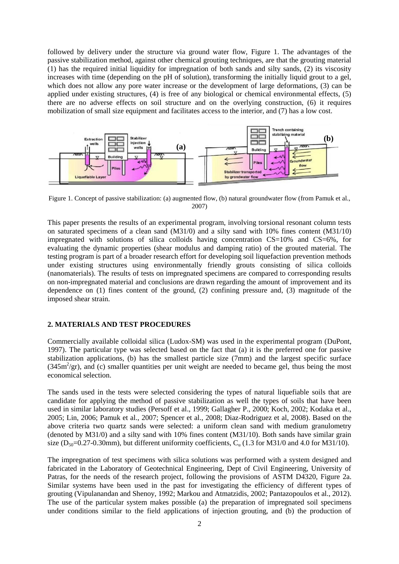followed by delivery under the structure via ground water flow, Figure 1. The advantages of the passive stabilization method, against other chemical grouting techniques, are that the grouting material (1) has the required initial liquidity for impregnation of both sands and silty sands, (2) its viscosity increases with time (depending on the pH of solution), transforming the initially liquid grout to a gel, which does not allow any pore water increase or the development of large deformations, (3) can be applied under existing structures, (4) is free of any biological or chemical environmental effects, (5) there are no adverse effects on soil structure and on the overlying construction, (6) it requires mobilization of small size equipment and facilitates access to the interior, and (7) has a low cost.



Figure 1. Concept of passive stabilization: (a) augmented flow, (b) natural groundwater flow (from Pamuk et al., 2007)

This paper presents the results of an experimental program, involving torsional resonant column tests on saturated specimens of a clean sand (M31/0) and a silty sand with 10% fines content (M31/10) impregnated with solutions of silica colloids having concentration  $CS=10\%$  and  $CS=6\%$ , for evaluating the dynamic properties (shear modulus and damping ratio) of the grouted material. The testing program is part of a broader research effort for developing soil liquefaction prevention methods under existing structures using environmentally friendly grouts consisting of silica colloids (nanomaterials). The results of tests on impregnated specimens are compared to corresponding results on non-impregnated material and conclusions are drawn regarding the amount of improvement and its dependence on (1) fines content of the ground, (2) confining pressure and, (3) magnitude of the imposed shear strain.

## **2. MATERIALS AND TEST PROCEDURES**

Commercially available colloidal silica (Ludox-SM) was used in the experimental program (DuPont, 1997). The particular type was selected based on the fact that (a) it is the preferred one for passive stabilization applications, (b) has the smallest particle size (7mm) and the largest specific surface  $(345m<sup>2</sup>/gr)$ , and (c) smaller quantities per unit weight are needed to became gel, thus being the most economical selection.

The sands used in the tests were selected considering the types of natural liquefiable soils that are candidate for applying the method of passive stabilization as well the types of soils that have been used in similar laboratory studies (Persoff et al., 1999; Gallagher P., 2000; Koch, 2002; Kodaka et al., 2005; Lin, 2006; Pamuk et al., 2007; Spencer et al., 2008; Diaz-Rodriguez et al, 2008). Based on the above criteria two quartz sands were selected: a uniform clean sand with medium granulometry (denoted by M31/0) and a silty sand with 10% fines content (M31/10). Both sands have similar grain size ( $D_{50}=0.27-0.30$ mm), but different uniformity coefficients,  $C_u$  (1.3 for M31/0 and 4.0 for M31/10).

The impregnation of test specimens with silica solutions was performed with a system designed and fabricated in the Laboratory of Geotechnical Engineering, Dept of Civil Engineering, University of Patras, for the needs of the research project, following the provisions of ASTM D4320, Figure 2a. Similar systems have been used in the past for investigating the efficiency of different types of grouting (Vipulanandan and Shenoy, 1992; Markou and Atmatzidis, 2002; Pantazopoulos et al., 2012). The use of the particular system makes possible (a) the preparation of impregnated soil specimens under conditions similar to the field applications of injection grouting, and (b) the production of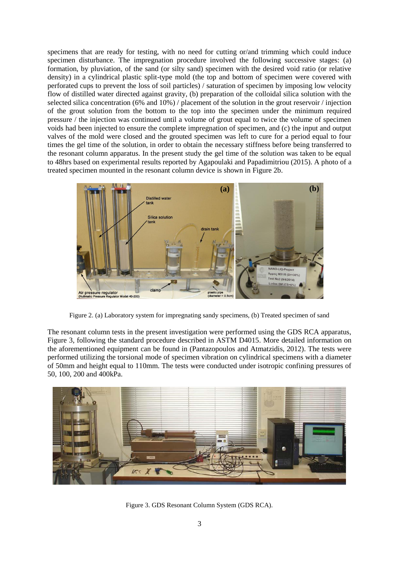specimens that are ready for testing, with no need for cutting or/and trimming which could induce specimen disturbance. The impregnation procedure involved the following successive stages: (a) formation, by pluviation, of the sand (or silty sand) specimen with the desired void ratio (or relative density) in a cylindrical plastic split-type mold (the top and bottom of specimen were covered with perforated cups to prevent the loss of soil particles) / saturation of specimen by imposing low velocity flow of distilled water directed against gravity, (b) preparation of the colloidal silica solution with the selected silica concentration (6% and 10%) / placement of the solution in the grout reservoir / injection of the grout solution from the bottom to the top into the specimen under the minimum required pressure / the injection was continued until a volume of grout equal to twice the volume of specimen voids had been injected to ensure the complete impregnation of specimen, and (c) the input and output valves of the mold were closed and the grouted specimen was left to cure for a period equal to four times the gel time of the solution, in order to obtain the necessary stiffness before being transferred to the resonant column apparatus. In the present study the gel time of the solution was taken to be equal to 48hrs based on experimental results reported by Agapoulaki and Papadimitriou (2015). A photo of a treated specimen mounted in the resonant column device is shown in Figure 2b.



Figure 2. (a) Laboratory system for impregnating sandy specimens, (b) Treated specimen of sand

The resonant column tests in the present investigation were performed using the GDS RCA apparatus, Figure 3, following the standard procedure described in ASTM D4015. More detailed information on the aforementioned equipment can be found in (Pantazopoulos and Atmatzidis, 2012). The tests were performed utilizing the torsional mode of specimen vibration on cylindrical specimens with a diameter of 50mm and height equal to 110mm. The tests were conducted under isotropic confining pressures of 50, 100, 200 and 400kPa.



Figure 3. GDS Resonant Column System (GDS RCA).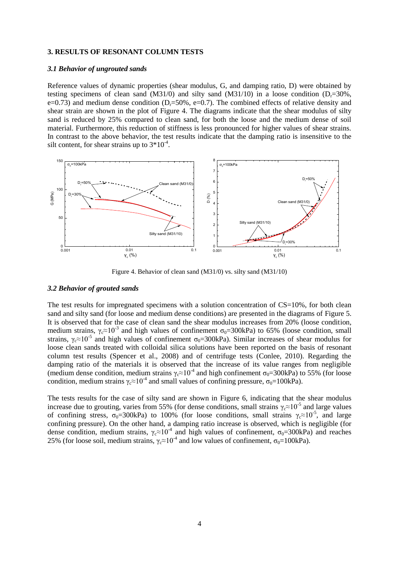#### **3. RESULTS OF RESONANT COLUMN TESTS**

#### *3.1 Behavior of ungrouted sands*

Reference values of dynamic properties (shear modulus, G, and damping ratio, D) were obtained by testing specimens of clean sand  $(M31/0)$  and silty sand  $(M31/10)$  in a loose condition  $(D=30\%$ . e=0.73) and medium dense condition  $(D_r=50\% , e=0.7)$ . The combined effects of relative density and shear strain are shown in the plot of Figure 4. The diagrams indicate that the shear modulus of silty sand is reduced by 25% compared to clean sand, for both the loose and the medium dense of soil material. Furthermore, this reduction of stiffness is less pronounced for higher values of shear strains. In contrast to the above behavior, the test results indicate that the damping ratio is insensitive to the silt content, for shear strains up to  $3*10^{-4}$ .



Figure 4. Behavior of clean sand (M31/0) vs. silty sand (M31/10)

## *3.2 Behavior of grouted sands*

The test results for impregnated specimens with a solution concentration of  $CS=10\%$ , for both clean sand and silty sand (for loose and medium dense conditions) are presented in the diagrams of Figure 5. It is observed that for the case of clean sand the shear modulus increases from 20% (loose condition, medium strains,  $\gamma_c \approx 10^{-3}$  and high values of confinement  $\sigma_0 = 300 \text{kPa}$  to 65% (loose condition, small strains,  $\gamma_c \approx 10^{-5}$  and high values of confinement  $\sigma_0 = 300 \text{kPa}$ ). Similar increases of shear modulus for loose clean sands treated with colloidal silica solutions have been reported on the basis of resonant column test results (Spencer et al., 2008) and of centrifuge tests (Conlee, 2010). Regarding the damping ratio of the materials it is observed that the increase of its value ranges from negligible (medium dense condition, medium strains  $\gamma_c \approx 10^{-4}$  and high confinement  $\sigma_0 = 300 \text{kPa}$ ) to 55% (for loose condition, medium strains  $\gamma_c \approx 10^{-4}$  and small values of confining pressure,  $\sigma_0 = 100$ kPa).

The tests results for the case of silty sand are shown in Figure 6, indicating that the shear modulus increase due to grouting, varies from 55% (for dense conditions, small strains  $\gamma_c \approx 10^{-5}$  and large values of confining stress,  $\sigma_0 = 300$ kPa) to 100% (for loose conditions, small strains  $\gamma_c \approx 10^{-5}$ , and large confining pressure). On the other hand, a damping ratio increase is observed, which is negligible (for dense condition, medium strains,  $\gamma_c \approx 10^{-4}$  and high values of confinement,  $\sigma_0 = 300 \text{kPa}$ ) and reaches 25% (for loose soil, medium strains,  $\gamma_c \approx 10^{-4}$  and low values of confinement,  $\sigma_0 = 100 \text{kPa}$ ).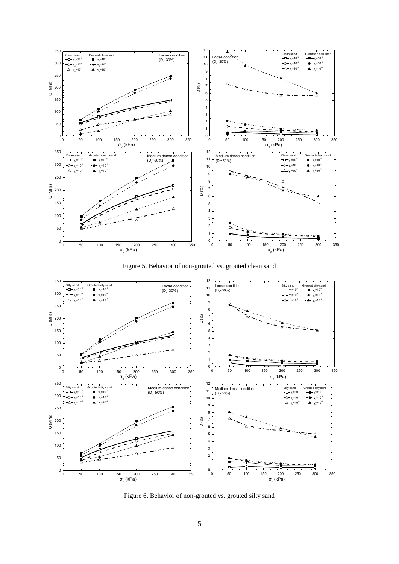

Figure 5. Behavior of non-grouted vs. grouted clean sand



Figure 6. Behavior of non-grouted vs. grouted silty sand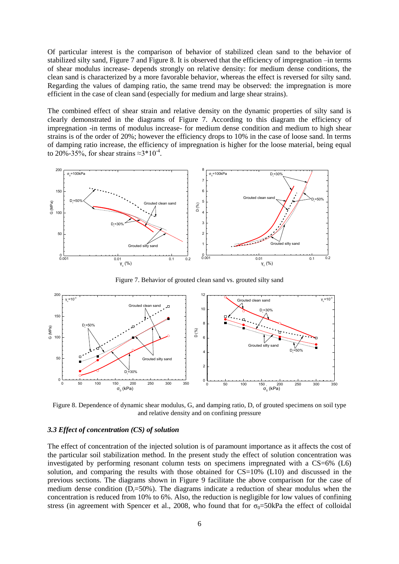Of particular interest is the comparison of behavior of stabilized clean sand to the behavior of stabilized silty sand, Figure 7 and Figure 8. It is observed that the efficiency of impregnation –in terms of shear modulus increase- depends strongly on relative density: for medium dense conditions, the clean sand is characterized by a more favorable behavior, whereas the effect is reversed for silty sand. Regarding the values of damping ratio, the same trend may be observed: the impregnation is more efficient in the case of clean sand (especially for medium and large shear strains).

The combined effect of shear strain and relative density on the dynamic properties of silty sand is clearly demonstrated in the diagrams of Figure 7. According to this diagram the efficiency of impregnation -in terms of modulus increase- for medium dense condition and medium to high shear strains is of the order of 20%; however the efficiency drops to 10% in the case of loose sand. In terms of damping ratio increase, the efficiency of impregnation is higher for the loose material, being equal to 20%-35%, for shear strains  $\approx$ 3\*10<sup>-4</sup>.



Figure 7. Behavior of grouted clean sand vs. grouted silty sand



Figure 8. Dependence of dynamic shear modulus, G, and damping ratio, D, of grouted specimens on soil type and relative density and on confining pressure

## *3.3 Effect of concentration (CS) of solution*

The effect of concentration of the injected solution is of paramount importance as it affects the cost of the particular soil stabilization method. In the present study the effect of solution concentration was investigated by performing resonant column tests on specimens impregnated with a CS=6% (L6) solution, and comparing the results with those obtained for  $CS=10\%$  (L10) and discussed in the previous sections. The diagrams shown in Figure 9 facilitate the above comparison for the case of medium dense condition  $(D=50\%)$ . The diagrams indicate a reduction of shear modulus when the concentration is reduced from 10% to 6%. Also, the reduction is negligible for low values of confining stress (in agreement with Spencer et al., 2008, who found that for  $\sigma_0 = 50kPa$  the effect of colloidal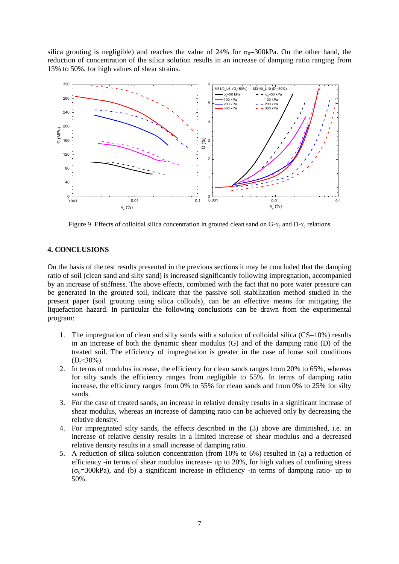silica grouting is negligible) and reaches the value of 24% for  $\sigma_0$ =300kPa. On the other hand, the reduction of concentration of the silica solution results in an increase of damping ratio ranging from 15% to 50%, for high values of shear strains.



Figure 9. Effects of colloidal silica concentration in grouted clean sand on  $G_{\gamma_c}$  and  $D_{\gamma_c}$  relations

# **4. CONCLUSIONS**

On the basis of the test results presented in the previous sections it may be concluded that the damping ratio of soil (clean sand and silty sand) is increased significantly following impregnation, accompanied by an increase of stiffness. The above effects, combined with the fact that no pore water pressure can be generated in the grouted soil, indicate that the passive soil stabilization method studied in the present paper (soil grouting using silica colloids), can be an effective means for mitigating the liquefaction hazard. In particular the following conclusions can be drawn from the experimental program:

- 1. The impregnation of clean and silty sands with a solution of colloidal silica  $(CS=10%)$  results in an increase of both the dynamic shear modulus (G) and of the damping ratio (D) of the treated soil. The efficiency of impregnation is greater in the case of loose soil conditions  $(D_r \approx 30\%)$ .
- 2. In terms of modulus increase, the efficiency for clean sands ranges from 20% to 65%, whereas for silty sands the efficiency ranges from negligible to 55%. In terms of damping ratio increase, the efficiency ranges from 0% to 55% for clean sands and from 0% to 25% for silty sands.
- 3. For the case of treated sands, an increase in relative density results in a significant increase of shear modulus, whereas an increase of damping ratio can be achieved only by decreasing the relative density.
- 4. For impregnated silty sands, the effects described in the (3) above are diminished, i.e. an increase of relative density results in a limited increase of shear modulus and a decreased relative density results in a small increase of damping ratio.
- 5. A reduction of silica solution concentration (from 10% to 6%) resulted in (a) a reduction of efficiency -in terms of shear modulus increase- up to 20%, for high values of confining stress  $(\sigma_0=300kPa)$ , and (b) a significant increase in efficiency -in terms of damping ratio- up to 50%.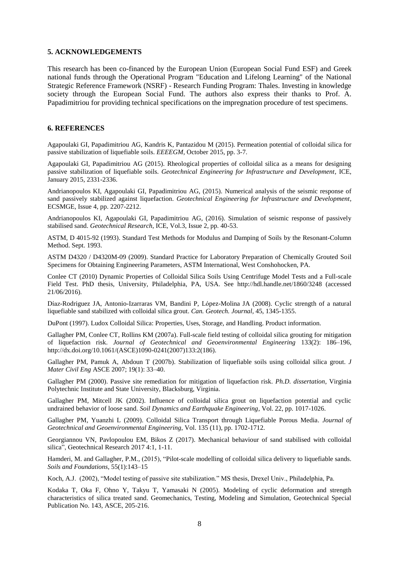#### **5. ACKNOWLEDGEMENTS**

This research has been co-financed by the European Union (European Social Fund ESF) and Greek national funds through the Operational Program "Education and Lifelong Learning" of the National Strategic Reference Framework (NSRF) - Research Funding Program: Thales. Investing in knowledge society through the European Social Fund. The authors also express their thanks to Prof. A. Papadimitriou for providing technical specifications on the impregnation procedure of test specimens.

## **6. REFERENCES**

Agapoulaki GI, Papadimitriou AG, Kandris K, Pantazidou M (2015). Permeation potential of colloidal silica for passive stabilization of liquefiable soils. *EEEEGM*, October 2015, pp. 3-7.

Agapoulaki GI, Papadimitriou AG (2015). Rheological properties of colloidal silica as a means for designing passive stabilization of liquefiable soils. *Geotechnical Engineering for Infrastructure and Development*, ICE, January 2015, 2331-2336.

Andrianopoulos KI, Agapoulaki GI, Papadimitriou AG, (2015). Numerical analysis of the seismic response of sand passively stabilized against liquefaction. *Geotechnical Engineering for Infrastructure and Development*, ECSMGE, Issue 4, pp. 2207-2212.

Andrianopoulos KI, Agapoulaki GI, Papadimitriou AG, (2016). Simulation of seismic response of passively stabilised sand. *Geotechnical Research*, ICE, Vol.3, Issue 2, pp. 40-53.

ASTM, D 4015-92 (1993). Standard Test Methods for Modulus and Damping of Soils by the Resonant-Column Method. Sept. 1993.

ASTM D4320 / D4320M-09 (2009). Standard Practice for Laboratory Preparation of Chemically Grouted Soil Specimens for Obtaining Engineering Parameters, ASTM International, West Conshohocken, PA.

Conlee CT (2010) Dynamic Properties of Colloidal Silica Soils Using Centrifuge Model Tests and a Full-scale Field Test. PhD thesis, University, Philadelphia, PA, USA. See http://hdl.handle.net/1860/3248 (accessed 21/06/2016).

Díaz-Rodriguez JA, Antonio-Izarraras VM, Bandini P, López-Molina JA (2008). Cyclic strength of a natural liquefiable sand stabilized with colloidal silica grout. *Can. Geotech. Journal*, 45, 1345-1355.

DuPont (1997). Ludox Colloidal Silica: Properties, Uses, Storage, and Handling. Product information.

Gallagher PM, Conlee CT, Rollins KM (2007a). Full-scale field testing of colloidal silica grouting for mitigation of liquefaction risk. *Journal of Geotechnical and Geoenvironmental Engineering* 133(2): 186–196, http://dx.doi.org/10.1061/(ASCE)1090-0241(2007)133:2(186).

Gallagher PM, Pamuk A, Abdoun T (2007b). Stabilization of liquefiable soils using colloidal silica grout. *J Mater Civil Eng* ASCE 2007; 19(1): 33–40.

Gallagher PM (2000). Passive site remediation for mitigation of liquefaction risk. *Ph.D. dissertation*, Virginia Polytechnic Institute and State University, Blacksburg, Virginia.

Gallagher PM, Mitcell JK (2002). Influence of colloidal silica grout on liquefaction potential and cyclic undrained behavior of loose sand. *Soil Dynamics and Earthquake Engineering*, Vol. 22, pp. 1017-1026.

Gallagher PM, Yuanzhi L (2009). Colloidal Silica Transport through Liquefiable Porous Media. *Journal of Geotechnical and Geoenvironmental Engineering*, Vol. 135 (11), pp. 1702-1712.

Georgiannou VN, Pavlopoulou EM, Bikos Z (2017). Mechanical behaviour of sand stabilised with colloidal silica", Geotechnical Research 2017 4:1, 1-11.

Hamderi, M. and Gallagher, P.M., (2015), "Pilot-scale modelling of colloidal silica delivery to liquefiable sands. *Soils and Foundations*, 55(1):143–15

Koch, A.J. (2002), "Model testing of passive site stabilization." MS thesis, Drexel Univ., Philadelphia, Pa.

Kodaka T, Oka F, Ohno Y, Takyu T, Yamasaki N (2005). Modeling of cyclic deformation and strength characteristics of silica treated sand. Geomechanics, Testing, Modeling and Simulation, Geotechnical Special Publication No. 143, ASCE, 205-216.